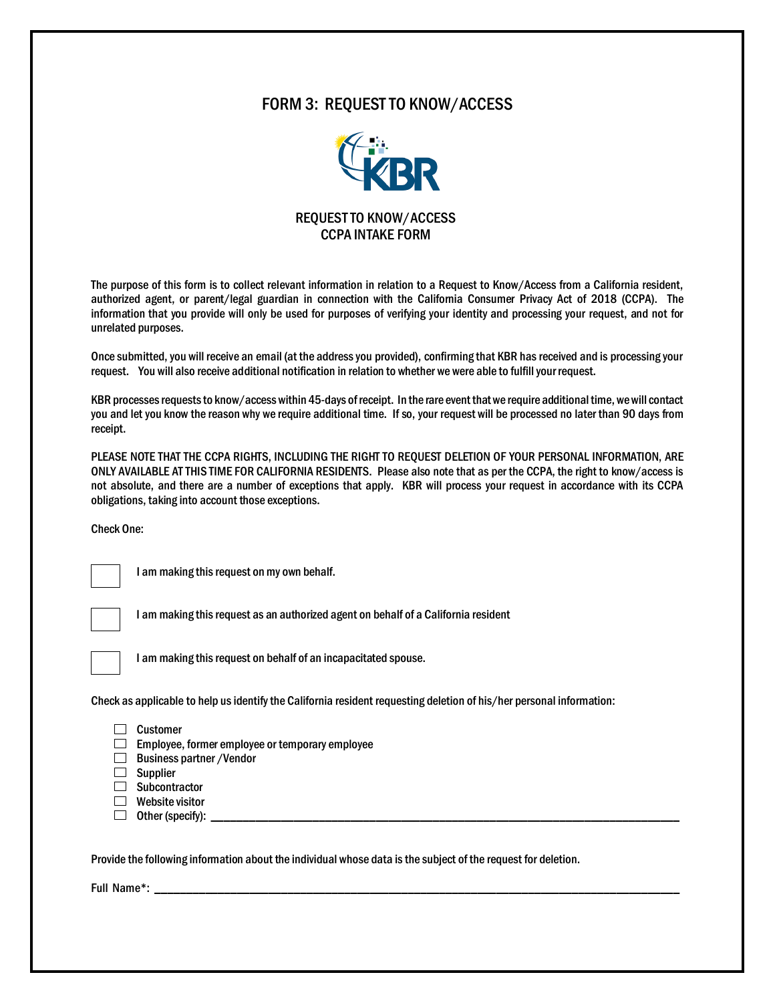## FORM 3: REQUEST TO KNOW/ACCESS



The purpose of this form is to collect relevant information in relation to a Request to Know/Access from a California resident, authorized agent, or parent/legal guardian in connection with the California Consumer Privacy Act of 2018 (CCPA). The information that you provide will only be used for purposes of verifying your identity and processing your request, and not for unrelated purposes.

Once submitted, you will receive an email (at the address you provided), confirming that KBR has received and is processing your request. You will also receive additional notification in relation to whether we were able to fulfill your request.

KBR processes requests to know/access within 45-days of receipt. In the rare event that we require additional time, we will contact you and let you know the reason why we require additional time. If so, your request will be processed no later than 90 days from receipt.

PLEASE NOTE THAT THE CCPA RIGHTS, INCLUDING THE RIGHT TO REQUEST DELETION OF YOUR PERSONAL INFORMATION, ARE ONLY AVAILABLE AT THIS TIME FOR CALIFORNIA RESIDENTS. Please also note that as per the CCPA, the right to know/access is not absolute, and there are a number of exceptions that apply. KBR will process your request in accordance with its CCPA obligations, taking into account those exceptions.

Check One:



I am making this request on my own behalf.



I am making this request as an authorized agent on behalf of a California resident



I am making this request on behalf of an incapacitated spouse.

Check as applicable to help us identify the California resident requesting deletion of his/her personal information:

| <b>Customer</b> |
|-----------------|
|                 |

- $\Box$  Employee, former employee or temporary employee
- $\Box$  Business partner / Vendor
- $\Box$  Supplier
- $\Box$  Subcontractor
- $\Box$  Website visitor
- $\Box$  Other (specify):  $\Box$

Provide the following information about the individual whose data is the subject of the request for deletion.

Full Name\*: \_\_\_\_\_\_\_\_\_\_\_\_\_\_\_\_\_\_\_\_\_\_\_\_\_\_\_\_\_\_\_\_\_\_\_\_\_\_\_\_\_\_\_\_\_\_\_\_\_\_\_\_\_\_\_\_\_\_\_\_\_\_\_\_\_\_\_\_\_\_\_\_\_\_\_\_\_\_\_\_\_\_\_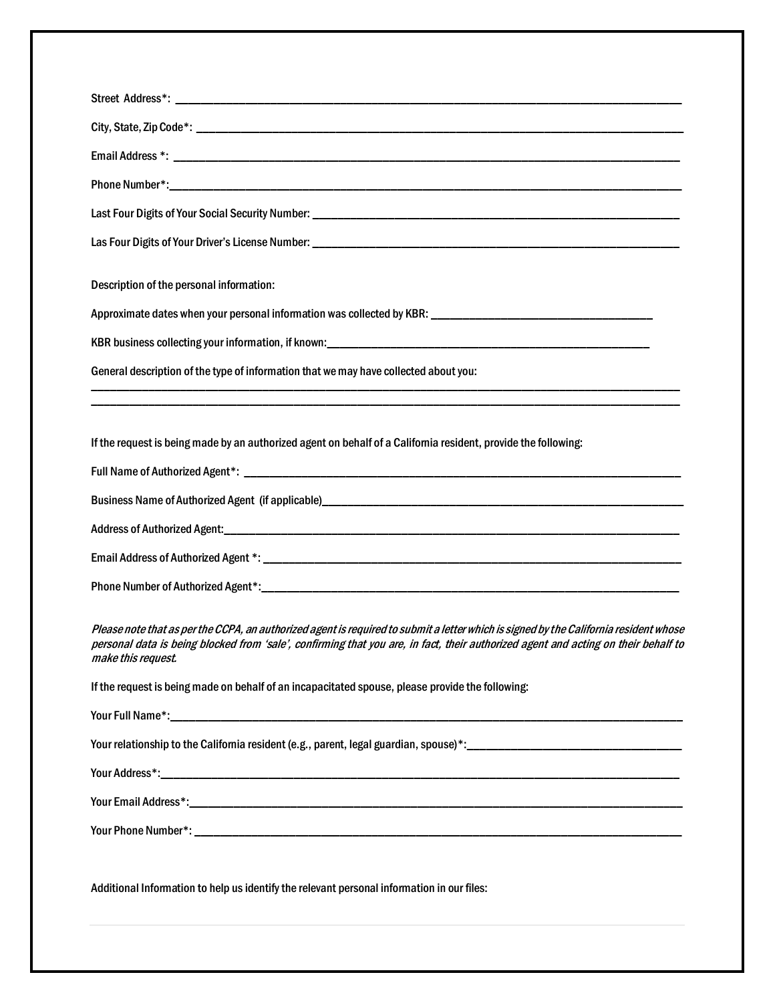| Description of the personal information:<br>General description of the type of information that we may have collected about you:<br>If the request is being made by an authorized agent on behalf of a California resident, provide the following:<br>Please note that as per the CCPA, an authorized agent is required to submit a letter which is signed by the California resident whose<br>personal data is being blocked from 'sale', confirming that you are, in fact, their authorized agent and acting on their behalf to<br>make this request.<br>If the request is being made on behalf of an incapacitated spouse, please provide the following: |                                                                                            |
|-------------------------------------------------------------------------------------------------------------------------------------------------------------------------------------------------------------------------------------------------------------------------------------------------------------------------------------------------------------------------------------------------------------------------------------------------------------------------------------------------------------------------------------------------------------------------------------------------------------------------------------------------------------|--------------------------------------------------------------------------------------------|
|                                                                                                                                                                                                                                                                                                                                                                                                                                                                                                                                                                                                                                                             |                                                                                            |
|                                                                                                                                                                                                                                                                                                                                                                                                                                                                                                                                                                                                                                                             |                                                                                            |
|                                                                                                                                                                                                                                                                                                                                                                                                                                                                                                                                                                                                                                                             |                                                                                            |
|                                                                                                                                                                                                                                                                                                                                                                                                                                                                                                                                                                                                                                                             |                                                                                            |
|                                                                                                                                                                                                                                                                                                                                                                                                                                                                                                                                                                                                                                                             |                                                                                            |
|                                                                                                                                                                                                                                                                                                                                                                                                                                                                                                                                                                                                                                                             |                                                                                            |
|                                                                                                                                                                                                                                                                                                                                                                                                                                                                                                                                                                                                                                                             |                                                                                            |
|                                                                                                                                                                                                                                                                                                                                                                                                                                                                                                                                                                                                                                                             |                                                                                            |
|                                                                                                                                                                                                                                                                                                                                                                                                                                                                                                                                                                                                                                                             |                                                                                            |
|                                                                                                                                                                                                                                                                                                                                                                                                                                                                                                                                                                                                                                                             |                                                                                            |
|                                                                                                                                                                                                                                                                                                                                                                                                                                                                                                                                                                                                                                                             |                                                                                            |
|                                                                                                                                                                                                                                                                                                                                                                                                                                                                                                                                                                                                                                                             |                                                                                            |
|                                                                                                                                                                                                                                                                                                                                                                                                                                                                                                                                                                                                                                                             |                                                                                            |
|                                                                                                                                                                                                                                                                                                                                                                                                                                                                                                                                                                                                                                                             |                                                                                            |
|                                                                                                                                                                                                                                                                                                                                                                                                                                                                                                                                                                                                                                                             |                                                                                            |
|                                                                                                                                                                                                                                                                                                                                                                                                                                                                                                                                                                                                                                                             |                                                                                            |
|                                                                                                                                                                                                                                                                                                                                                                                                                                                                                                                                                                                                                                                             |                                                                                            |
|                                                                                                                                                                                                                                                                                                                                                                                                                                                                                                                                                                                                                                                             |                                                                                            |
|                                                                                                                                                                                                                                                                                                                                                                                                                                                                                                                                                                                                                                                             |                                                                                            |
|                                                                                                                                                                                                                                                                                                                                                                                                                                                                                                                                                                                                                                                             |                                                                                            |
|                                                                                                                                                                                                                                                                                                                                                                                                                                                                                                                                                                                                                                                             |                                                                                            |
|                                                                                                                                                                                                                                                                                                                                                                                                                                                                                                                                                                                                                                                             |                                                                                            |
|                                                                                                                                                                                                                                                                                                                                                                                                                                                                                                                                                                                                                                                             |                                                                                            |
|                                                                                                                                                                                                                                                                                                                                                                                                                                                                                                                                                                                                                                                             |                                                                                            |
|                                                                                                                                                                                                                                                                                                                                                                                                                                                                                                                                                                                                                                                             |                                                                                            |
|                                                                                                                                                                                                                                                                                                                                                                                                                                                                                                                                                                                                                                                             | Additional Information to help us identify the relevant personal information in our files: |